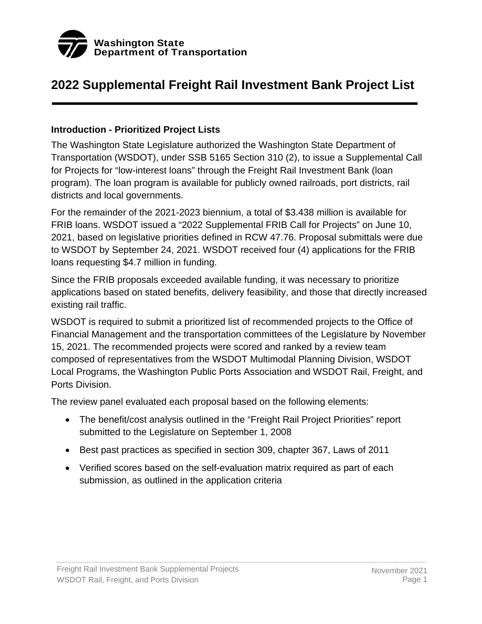

### **2022 Supplemental Freight Rail Investment Bank Project List**

#### **Introduction - Prioritized Project Lists**

The Washington State Legislature authorized the Washington State Department of Transportation (WSDOT), under SSB 5165 Section 310 (2), to issue a Supplemental Call for Projects for "low-interest loans" through the Freight Rail Investment Bank (loan program). The loan program is available for publicly owned railroads, port districts, rail districts and local governments.

For the remainder of the 2021-2023 biennium, a total of \$3.438 million is available for FRIB loans. WSDOT issued a "2022 Supplemental FRIB Call for Projects" on June 10, 2021, based on legislative priorities defined in RCW 47.76. Proposal submittals were due to WSDOT by September 24, 2021. WSDOT received four (4) applications for the FRIB loans requesting \$4.7 million in funding.

Since the FRIB proposals exceeded available funding, it was necessary to prioritize applications based on stated benefits, delivery feasibility, and those that directly increased existing rail traffic.

WSDOT is required to submit a prioritized list of recommended projects to the Office of Financial Management and the transportation committees of the Legislature by November 15, 2021. The recommended projects were scored and ranked by a review team composed of representatives from the WSDOT Multimodal Planning Division, WSDOT Local Programs, the Washington Public Ports Association and WSDOT Rail, Freight, and Ports Division.

The review panel evaluated each proposal based on the following elements:

- The benefit/cost analysis outlined in the "Freight Rail Project Priorities" report submitted to the Legislature on September 1, 2008
- Best past practices as specified in section 309, chapter 367, Laws of 2011
- Verified scores based on the self-evaluation matrix required as part of each submission, as outlined in the application criteria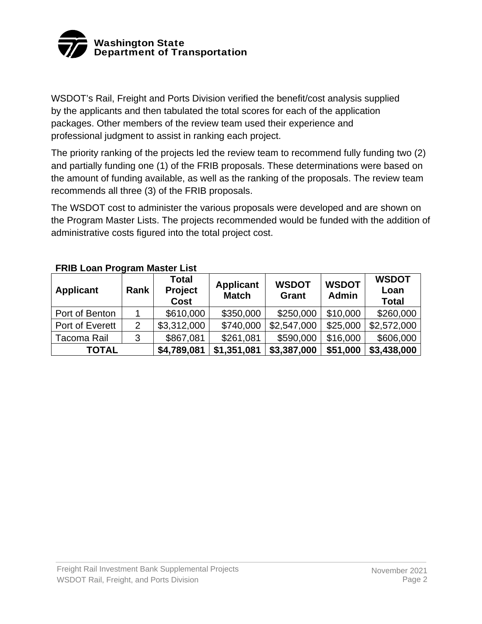

WSDOT's Rail, Freight and Ports Division verified the benefit/cost analysis supplied by the applicants and then tabulated the total scores for each of the application packages. Other members of the review team used their experience and professional judgment to assist in ranking each project.

The priority ranking of the projects led the review team to recommend fully funding two (2) and partially funding one (1) of the FRIB proposals. These determinations were based on the amount of funding available, as well as the ranking of the proposals. The review team recommends all three (3) of the FRIB proposals.

The WSDOT cost to administer the various proposals were developed and are shown on the Program Master Lists. The projects recommended would be funded with the addition of administrative costs figured into the total project cost.

| Applicant       | Rank | <b>Total</b><br><b>Project</b><br><b>Cost</b> | <b>Applicant</b><br><b>Match</b> | <b>WSDOT</b><br>Grant | <b>WSDOT</b><br><b>Admin</b> | <b>WSDOT</b><br>Loan<br><b>Total</b> |
|-----------------|------|-----------------------------------------------|----------------------------------|-----------------------|------------------------------|--------------------------------------|
| Port of Benton  |      | \$610,000                                     | \$350,000                        | \$250,000             | \$10,000                     | \$260,000                            |
| Port of Everett | 2    | \$3,312,000                                   | \$740,000                        | \$2,547,000           | \$25,000                     | \$2,572,000                          |
| Tacoma Rail     | 3    | \$867,081                                     | \$261,081                        | \$590,000             | \$16,000                     | \$606,000                            |
| TOTAL           |      | \$4,789,081                                   | \$1,351,081                      | \$3,387,000           | \$51,000                     | \$3,438,000                          |

#### **FRIB Loan Program Master List**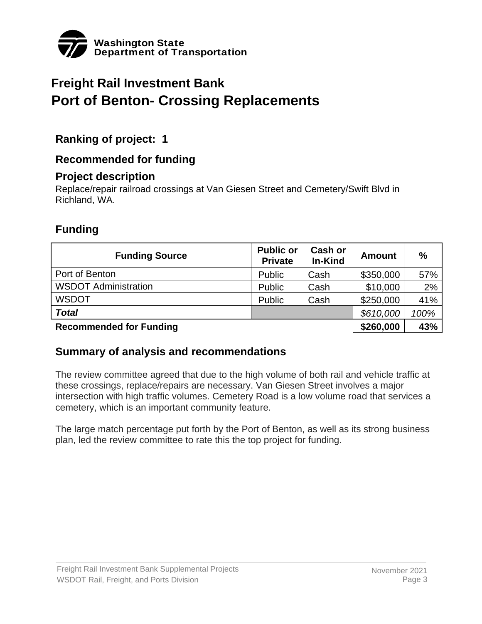

## **Freight Rail Investment Bank Port of Benton- Crossing Replacements**

#### **Ranking of project: 1**

#### **Recommended for funding**

#### **Project description**

Replace/repair railroad crossings at Van Giesen Street and Cemetery/Swift Blvd in Richland, WA.

### **Funding**

| <b>Funding Source</b>          | <b>Public or</b><br><b>Private</b> | Cash or<br>In-Kind | <b>Amount</b> | %    |
|--------------------------------|------------------------------------|--------------------|---------------|------|
| Port of Benton                 | Public                             | Cash               | \$350,000     | 57%  |
| <b>WSDOT Administration</b>    | Public                             | Cash               | \$10,000      | 2%   |
| <b>WSDOT</b>                   | Public                             | Cash               | \$250,000     | 41%  |
| <b>Total</b>                   |                                    |                    | \$610,000     | 100% |
| <b>Recommended for Funding</b> |                                    |                    | \$260,000     | 43%  |

#### **Summary of analysis and recommendations**

The review committee agreed that due to the high volume of both rail and vehicle traffic at these crossings, replace/repairs are necessary. Van Giesen Street involves a major intersection with high traffic volumes. Cemetery Road is a low volume road that services a cemetery, which is an important community feature.

The large match percentage put forth by the Port of Benton, as well as its strong business plan, led the review committee to rate this the top project for funding.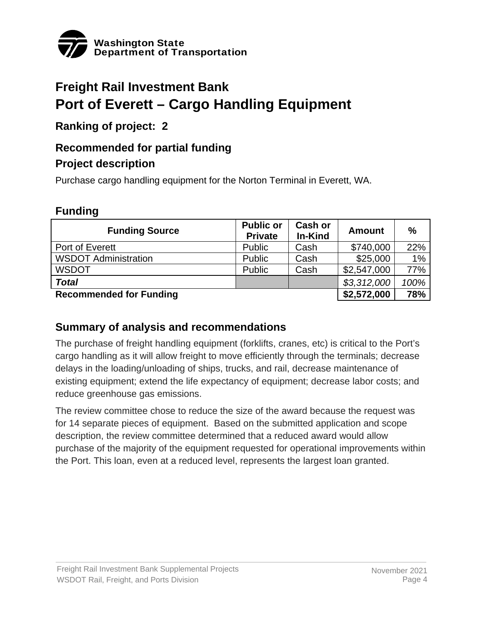

# **Port of Everett – Cargo Handling Equipment Freight Rail Investment Bank**

#### **Ranking of project: 2**

#### **Recommended for partial funding**

#### **Project description**

Purchase cargo handling equipment for the Norton Terminal in Everett, WA.

#### **Funding**

| <b>Funding Source</b>          | <b>Public or</b><br><b>Private</b> | Cash or<br>In-Kind | <b>Amount</b> | $\frac{0}{0}$ |
|--------------------------------|------------------------------------|--------------------|---------------|---------------|
| Port of Everett                | <b>Public</b>                      | Cash               | \$740,000     | 22%           |
| <b>WSDOT Administration</b>    | Public                             | Cash               | \$25,000      | 1%            |
| <b>WSDOT</b>                   | Public                             | Cash               | \$2,547,000   | 77%           |
| <b>Total</b>                   |                                    |                    | \$3,312,000   | 100%          |
| <b>Recommended for Funding</b> |                                    |                    | \$2,572,000   | 78%           |

#### **Summary of analysis and recommendations**

The purchase of freight handling equipment (forklifts, cranes, etc) is critical to the Port's cargo handling as it will allow freight to move efficiently through the terminals; decrease delays in the loading/unloading of ships, trucks, and rail, decrease maintenance of existing equipment; extend the life expectancy of equipment; decrease labor costs; and reduce greenhouse gas emissions.

The review committee chose to reduce the size of the award because the request was for 14 separate pieces of equipment. Based on the submitted application and scope description, the review committee determined that a reduced award would allow purchase of the majority of the equipment requested for operational improvements within the Port. This loan, even at a reduced level, represents the largest loan granted.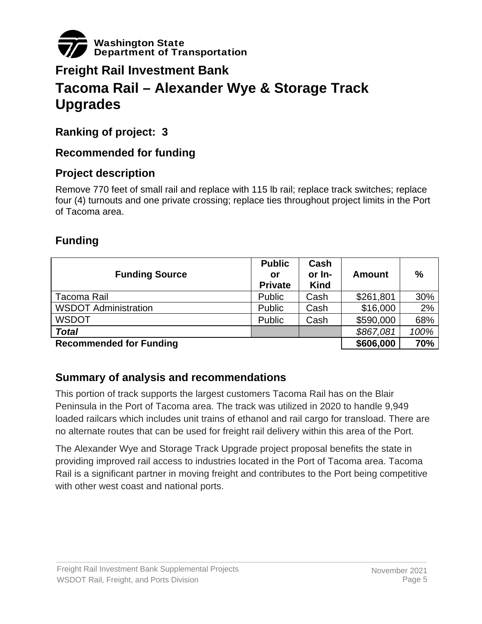

## **Freight Rail Investment Bank Tacoma Rail – Alexander Wye & Storage Track Upgrades**

**Ranking of project: 3** 

#### **Recommended for funding**

#### **Project description**

Remove 770 feet of small rail and replace with 115 lb rail; replace track switches; replace four (4) turnouts and one private crossing; replace ties throughout project limits in the Port of Tacoma area.

### **Funding**

| <b>Funding Source</b>          | <b>Public</b><br>or<br><b>Private</b> | Cash<br>or In-<br><b>Kind</b> | <b>Amount</b> | $\frac{0}{0}$ |
|--------------------------------|---------------------------------------|-------------------------------|---------------|---------------|
| Tacoma Rail                    | Public                                | Cash                          | \$261,801     | 30%           |
| <b>WSDOT Administration</b>    | Public                                | Cash                          | \$16,000      | 2%            |
| <b>WSDOT</b>                   | Public                                | Cash                          | \$590,000     | 68%           |
| <b>Total</b>                   |                                       |                               | \$867,081     | 100%          |
| <b>Recommended for Funding</b> |                                       |                               | \$606,000     | 70%           |

#### **Summary of analysis and recommendations**

This portion of track supports the largest customers Tacoma Rail has on the Blair Peninsula in the Port of Tacoma area. The track was utilized in 2020 to handle 9,949 loaded railcars which includes unit trains of ethanol and rail cargo for transload. There are no alternate routes that can be used for freight rail delivery within this area of the Port.

The Alexander Wye and Storage Track Upgrade project proposal benefits the state in providing improved rail access to industries located in the Port of Tacoma area. Tacoma Rail is a significant partner in moving freight and contributes to the Port being competitive with other west coast and national ports.